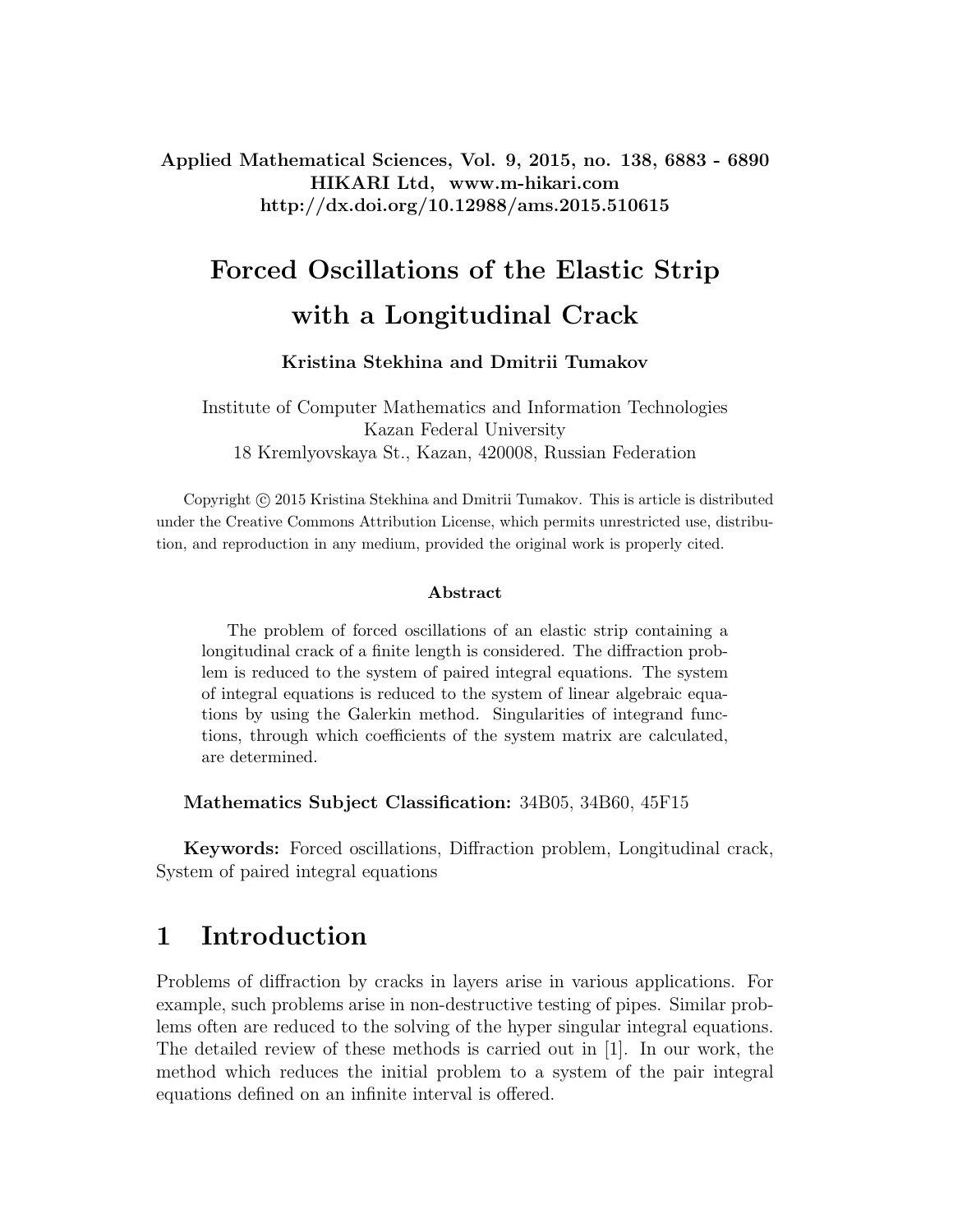Applied Mathematical Sciences, Vol. 9, 2015, no. 138, 6883 - 6890 HIKARI Ltd, www.m-hikari.com http://dx.doi.org/10.12988/ams.2015.510615

# Forced Oscillations of the Elastic Strip with a Longitudinal Crack

#### Kristina Stekhina and Dmitrii Tumakov

Institute of Computer Mathematics and Information Technologies Kazan Federal University 18 Kremlyovskaya St., Kazan, 420008, Russian Federation

Copyright (c) 2015 Kristina Stekhina and Dmitrii Tumakov. This is article is distributed under the Creative Commons Attribution License, which permits unrestricted use, distribution, and reproduction in any medium, provided the original work is properly cited.

#### Abstract

The problem of forced oscillations of an elastic strip containing a longitudinal crack of a finite length is considered. The diffraction problem is reduced to the system of paired integral equations. The system of integral equations is reduced to the system of linear algebraic equations by using the Galerkin method. Singularities of integrand functions, through which coefficients of the system matrix are calculated, are determined.

Mathematics Subject Classification: 34B05, 34B60, 45F15

Keywords: Forced oscillations, Diffraction problem, Longitudinal crack, System of paired integral equations

### 1 Introduction

Problems of diffraction by cracks in layers arise in various applications. For example, such problems arise in non-destructive testing of pipes. Similar problems often are reduced to the solving of the hyper singular integral equations. The detailed review of these methods is carried out in [1]. In our work, the method which reduces the initial problem to a system of the pair integral equations defined on an infinite interval is offered.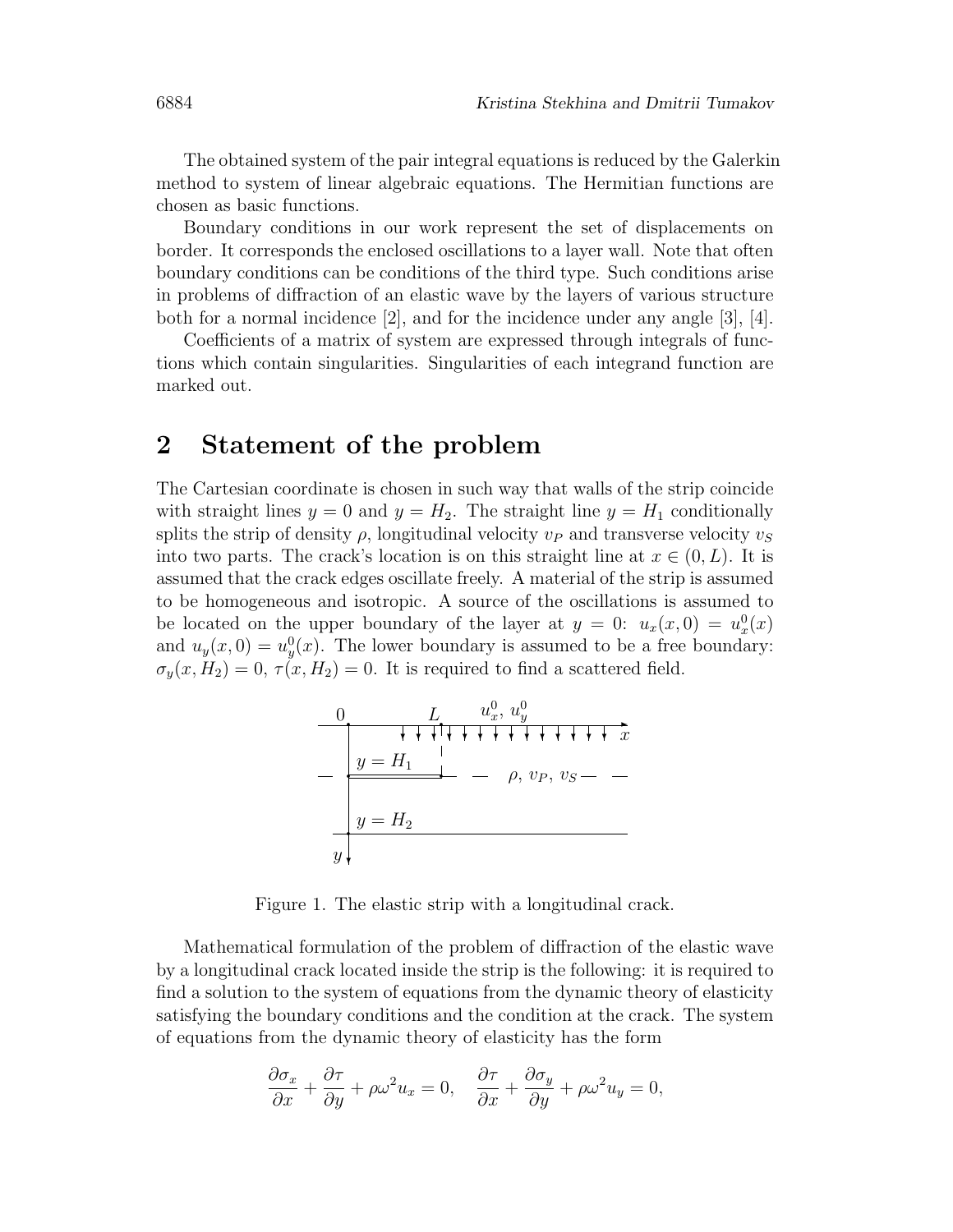The obtained system of the pair integral equations is reduced by the Galerkin method to system of linear algebraic equations. The Hermitian functions are chosen as basic functions.

Boundary conditions in our work represent the set of displacements on border. It corresponds the enclosed oscillations to a layer wall. Note that often boundary conditions can be conditions of the third type. Such conditions arise in problems of diffraction of an elastic wave by the layers of various structure both for a normal incidence  $[2]$ , and for the incidence under any angle  $[3]$ ,  $[4]$ .

Coefficients of a matrix of system are expressed through integrals of functions which contain singularities. Singularities of each integrand function are marked out.

### 2 Statement of the problem

The Cartesian coordinate is chosen in such way that walls of the strip coincide with straight lines  $y = 0$  and  $y = H_2$ . The straight line  $y = H_1$  conditionally splits the strip of density  $\rho$ , longitudinal velocity  $v_P$  and transverse velocity  $v_S$ into two parts. The crack's location is on this straight line at  $x \in (0, L)$ . It is assumed that the crack edges oscillate freely. A material of the strip is assumed to be homogeneous and isotropic. A source of the oscillations is assumed to be located on the upper boundary of the layer at  $y = 0$ :  $u_x(x, 0) = u_x^0(x)$ and  $u_y(x,0) = u_y^0(x)$ . The lower boundary is assumed to be a free boundary:  $\sigma_y(x, H_2) = 0$ ,  $\tau(x, H_2) = 0$ . It is required to find a scattered field.



Figure 1. The elastic strip with a longitudinal crack.

Mathematical formulation of the problem of diffraction of the elastic wave by a longitudinal crack located inside the strip is the following: it is required to find a solution to the system of equations from the dynamic theory of elasticity satisfying the boundary conditions and the condition at the crack. The system of equations from the dynamic theory of elasticity has the form

$$
\frac{\partial \sigma_x}{\partial x} + \frac{\partial \tau}{\partial y} + \rho \omega^2 u_x = 0, \quad \frac{\partial \tau}{\partial x} + \frac{\partial \sigma_y}{\partial y} + \rho \omega^2 u_y = 0,
$$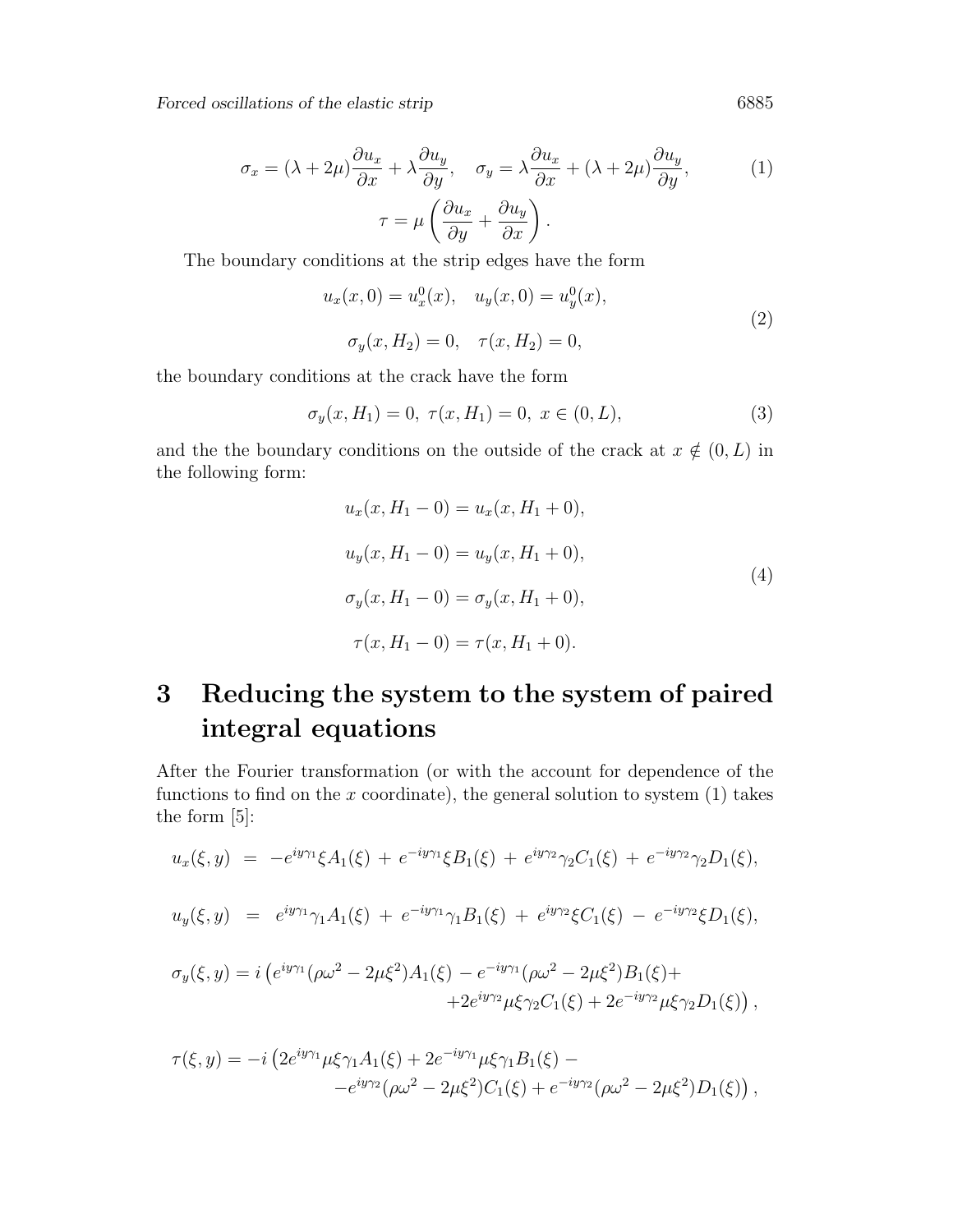Forced oscillations of the elastic strip 6885

$$
\sigma_x = (\lambda + 2\mu) \frac{\partial u_x}{\partial x} + \lambda \frac{\partial u_y}{\partial y}, \quad \sigma_y = \lambda \frac{\partial u_x}{\partial x} + (\lambda + 2\mu) \frac{\partial u_y}{\partial y},
$$

$$
\tau = \mu \left( \frac{\partial u_x}{\partial y} + \frac{\partial u_y}{\partial x} \right).
$$
 (1)

The boundary conditions at the strip edges have the form

$$
u_x(x, 0) = u_x^0(x), \quad u_y(x, 0) = u_y^0(x),
$$
  

$$
\sigma_y(x, H_2) = 0, \quad \tau(x, H_2) = 0,
$$
 (2)

the boundary conditions at the crack have the form

$$
\sigma_y(x, H_1) = 0, \ \tau(x, H_1) = 0, \ x \in (0, L), \tag{3}
$$

and the the boundary conditions on the outside of the crack at  $x \notin (0, L)$  in the following form:

$$
u_x(x, H_1 - 0) = u_x(x, H_1 + 0),
$$
  
\n
$$
u_y(x, H_1 - 0) = u_y(x, H_1 + 0),
$$
  
\n
$$
\sigma_y(x, H_1 - 0) = \sigma_y(x, H_1 + 0),
$$
  
\n
$$
\tau(x, H_1 - 0) = \tau(x, H_1 + 0).
$$
\n(4)

## 3 Reducing the system to the system of paired integral equations

After the Fourier transformation (or with the account for dependence of the functions to find on the  $x$  coordinate), the general solution to system  $(1)$  takes the form [5]:

$$
u_x(\xi, y) = -e^{iy\gamma_1}\xi A_1(\xi) + e^{-iy\gamma_1}\xi B_1(\xi) + e^{iy\gamma_2}\gamma_2 C_1(\xi) + e^{-iy\gamma_2}\gamma_2 D_1(\xi),
$$

$$
u_y(\xi, y) = e^{iy\gamma_1}\gamma_1 A_1(\xi) + e^{-iy\gamma_1}\gamma_1 B_1(\xi) + e^{iy\gamma_2}\xi C_1(\xi) - e^{-iy\gamma_2}\xi D_1(\xi),
$$

$$
\sigma_y(\xi, y) = i \left( e^{iy\gamma_1} (\rho \omega^2 - 2\mu \xi^2) A_1(\xi) - e^{-iy\gamma_1} (\rho \omega^2 - 2\mu \xi^2) B_1(\xi) + + 2e^{iy\gamma_2} \mu \xi \gamma_2 C_1(\xi) + 2e^{-iy\gamma_2} \mu \xi \gamma_2 D_1(\xi) \right),
$$

$$
\tau(\xi, y) = -i \left( 2e^{iy\gamma_1} \mu \xi \gamma_1 A_1(\xi) + 2e^{-iy\gamma_1} \mu \xi \gamma_1 B_1(\xi) - e^{iy\gamma_2} (\rho \omega^2 - 2\mu \xi^2) C_1(\xi) + e^{-iy\gamma_2} (\rho \omega^2 - 2\mu \xi^2) D_1(\xi) \right),
$$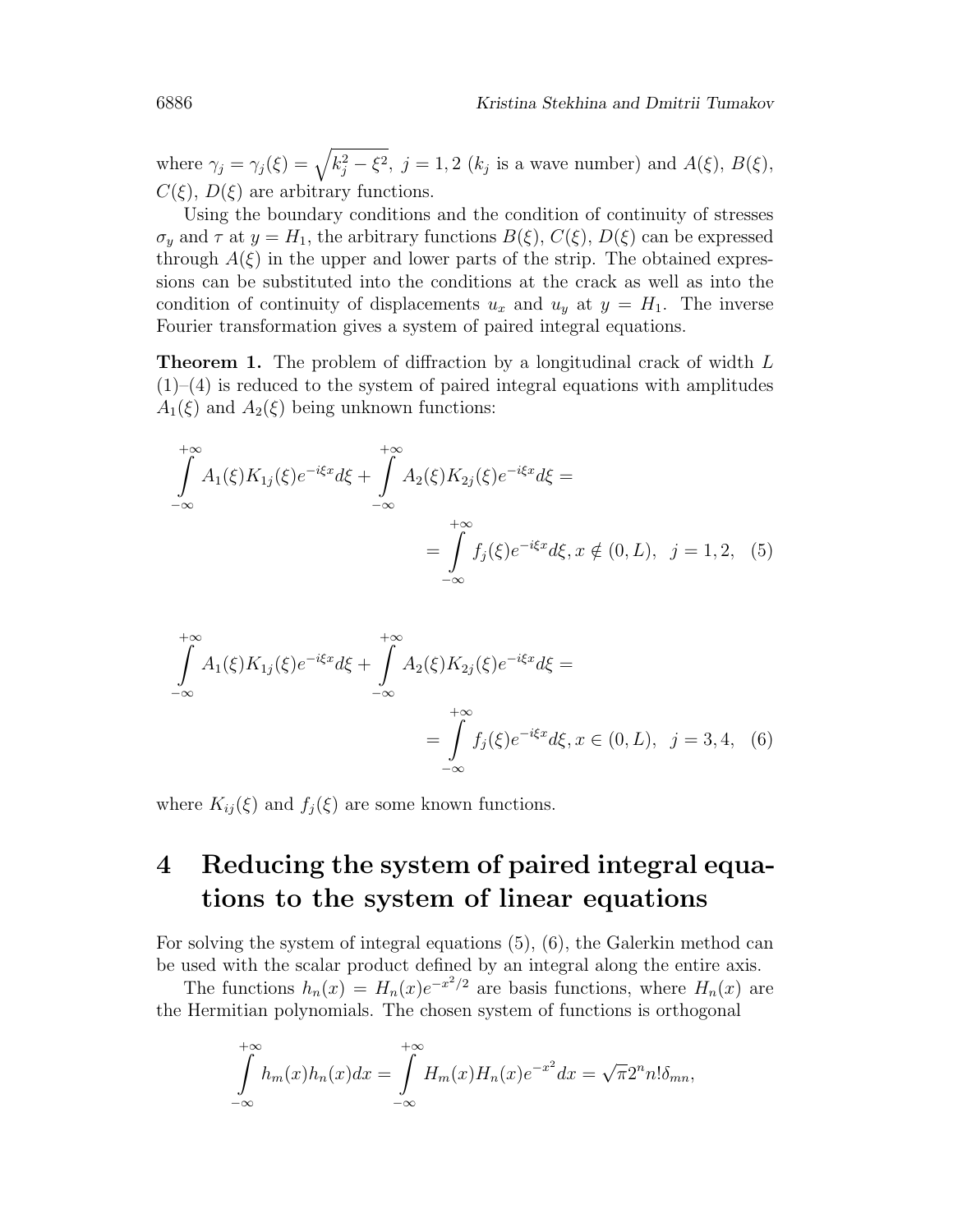where  $\gamma_j = \gamma_j(\xi) = \sqrt{k_j^2 - \xi^2}$ ,  $j = 1, 2$  ( $k_j$  is a wave number) and  $A(\xi)$ ,  $B(\xi)$ ,  $C(\xi)$ ,  $D(\xi)$  are arbitrary functions.

Using the boundary conditions and the condition of continuity of stresses  $\sigma_y$  and  $\tau$  at  $y = H_1$ , the arbitrary functions  $B(\xi)$ ,  $C(\xi)$ ,  $D(\xi)$  can be expressed through  $A(\xi)$  in the upper and lower parts of the strip. The obtained expressions can be substituted into the conditions at the crack as well as into the condition of continuity of displacements  $u_x$  and  $u_y$  at  $y = H_1$ . The inverse Fourier transformation gives a system of paired integral equations.

**Theorem 1.** The problem of diffraction by a longitudinal crack of width L  $(1)$ – $(4)$  is reduced to the system of paired integral equations with amplitudes  $A_1(\xi)$  and  $A_2(\xi)$  being unknown functions:

$$
\int_{-\infty}^{+\infty} A_1(\xi) K_{1j}(\xi) e^{-i\xi x} d\xi + \int_{-\infty}^{+\infty} A_2(\xi) K_{2j}(\xi) e^{-i\xi x} d\xi = \int_{-\infty}^{+\infty} f_j(\xi) e^{-i\xi x} d\xi, x \notin (0, L), \quad j = 1, 2, (5)
$$

$$
\int_{-\infty}^{+\infty} A_1(\xi) K_{1j}(\xi) e^{-i\xi x} d\xi + \int_{-\infty}^{+\infty} A_2(\xi) K_{2j}(\xi) e^{-i\xi x} d\xi =
$$
\n
$$
= \int_{-\infty}^{+\infty} f_j(\xi) e^{-i\xi x} d\xi, x \in (0, L), \quad j = 3, 4, \quad (6)
$$

where  $K_{ij}(\xi)$  and  $f_j(\xi)$  are some known functions.

## 4 Reducing the system of paired integral equations to the system of linear equations

For solving the system of integral equations (5), (6), the Galerkin method can be used with the scalar product defined by an integral along the entire axis.

The functions  $h_n(x) = H_n(x)e^{-x^2/2}$  are basis functions, where  $H_n(x)$  are the Hermitian polynomials. The chosen system of functions is orthogonal

$$
\int_{-\infty}^{+\infty} h_m(x)h_n(x)dx = \int_{-\infty}^{+\infty} H_m(x)H_n(x)e^{-x^2}dx = \sqrt{\pi}2^n n!\delta_{mn},
$$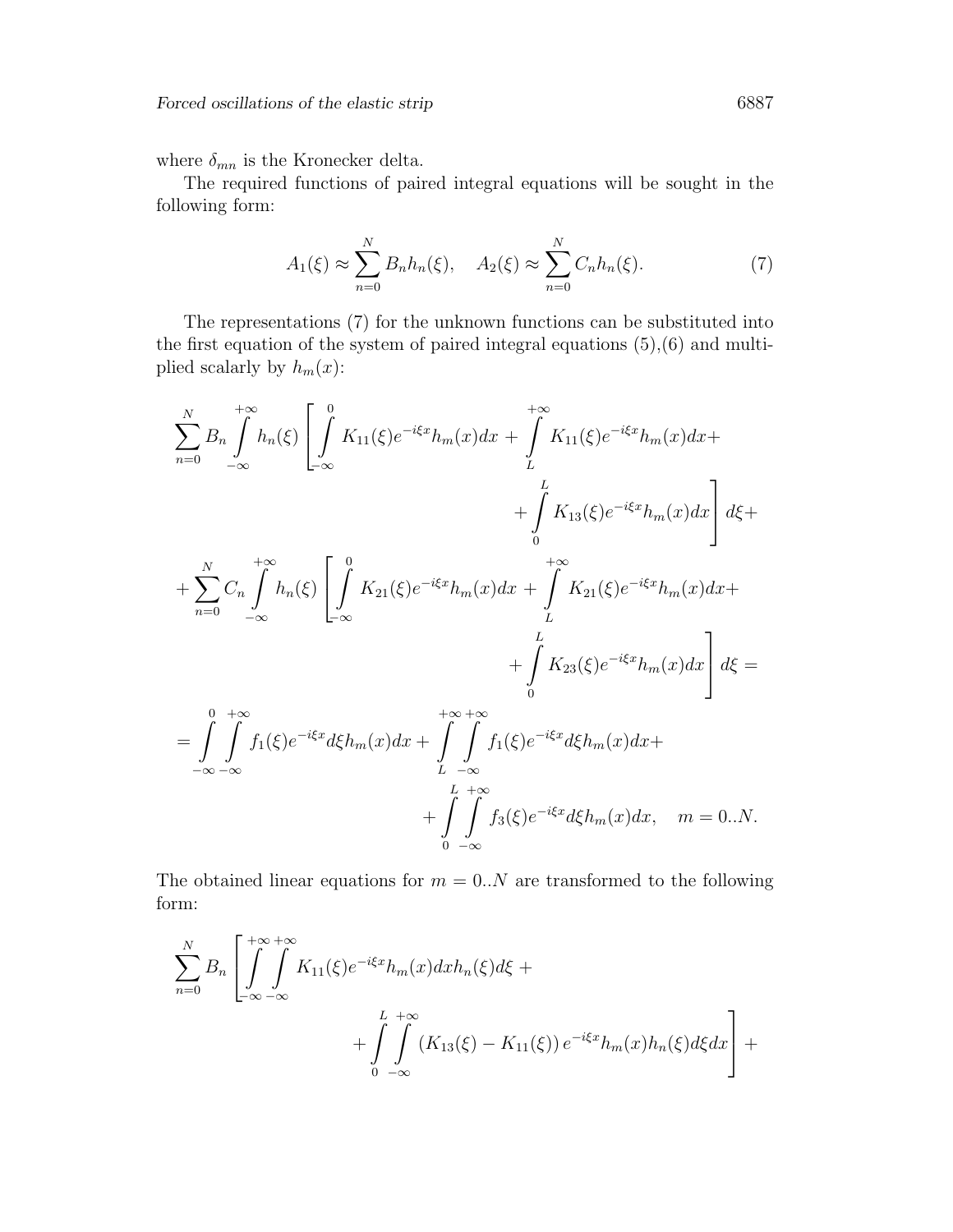where  $\delta_{mn}$  is the Kronecker delta.

The required functions of paired integral equations will be sought in the following form:

$$
A_1(\xi) \approx \sum_{n=0}^{N} B_n h_n(\xi), \quad A_2(\xi) \approx \sum_{n=0}^{N} C_n h_n(\xi). \tag{7}
$$

The representations (7) for the unknown functions can be substituted into the first equation of the system of paired integral equations (5),(6) and multiplied scalarly by  $h_m(x)$ :

$$
\sum_{n=0}^{N} B_n \int_{-\infty}^{+\infty} h_n(\xi) \left[ \int_{-\infty}^{0} K_{11}(\xi) e^{-i\xi x} h_m(x) dx + \int_{L}^{+\infty} K_{11}(\xi) e^{-i\xi x} h_m(x) dx + \int_{0}^{L} K_{13}(\xi) e^{-i\xi x} h_m(x) dx \right] d\xi +
$$
\n
$$
+ \sum_{n=0}^{N} C_n \int_{-\infty}^{+\infty} h_n(\xi) \left[ \int_{-\infty}^{0} K_{21}(\xi) e^{-i\xi x} h_m(x) dx + \int_{L}^{+\infty} K_{21}(\xi) e^{-i\xi x} h_m(x) dx + \int_{L}^{L} K_{23}(\xi) e^{-i\xi x} h_m(x) dx \right] d\xi =
$$
\n
$$
= \int_{0}^{0} \int_{-\infty}^{+\infty} f_1(\xi) e^{-i\xi x} d\xi h_m(x) dx + \int_{0}^{+\infty} \int_{1}^{+\infty} f_1(\xi) e^{-i\xi x} d\xi h_m(x) dx +
$$

$$
= \int\limits_{-\infty}^{\infty} \int\limits_{-\infty}^{\infty} f_1(\xi) e^{-i\xi x} d\xi h_m(x) dx + \int\limits_{L}^{\infty} \int\limits_{-\infty}^{\infty} f_1(\xi) e^{-i\xi x} d\xi h_m(x) dx + \int\limits_{0}^{L} \int\limits_{-\infty}^{\infty} f_3(\xi) e^{-i\xi x} d\xi h_m(x) dx, \quad m = 0...N.
$$

The obtained linear equations for  $m = 0..N$  are transformed to the following form:

$$
\sum_{n=0}^{N} B_n \left[ \int_{-\infty}^{+\infty} \int_{-\infty}^{+\infty} K_{11}(\xi) e^{-i\xi x} h_m(x) dx h_n(\xi) d\xi + \right.
$$
  
+ 
$$
\int_{0}^{L} \int_{-\infty}^{+\infty} (K_{13}(\xi) - K_{11}(\xi)) e^{-i\xi x} h_m(x) h_n(\xi) d\xi dx \right] +
$$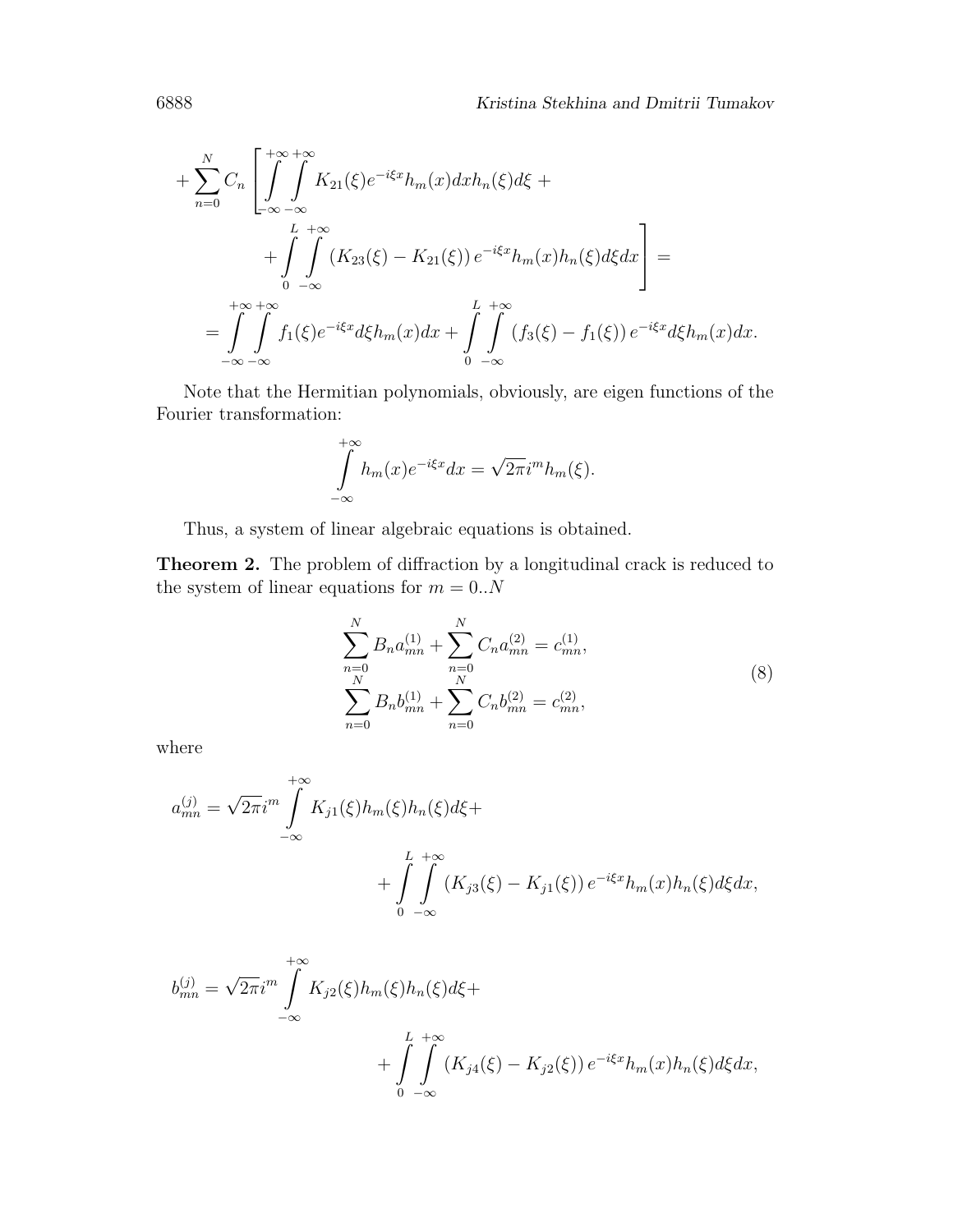$$
+\sum_{n=0}^{N}C_n\left[\int_{-\infty}^{+\infty}\int_{-\infty}^{\infty}K_{21}(\xi)e^{-i\xi x}h_m(x)dxh_n(\xi)d\xi ++\int_{0}^{L} \int_{-\infty}^{+\infty}(K_{23}(\xi)-K_{21}(\xi))e^{-i\xi x}h_m(x)h_n(\xi)d\xi dx\right]==\int_{-\infty}^{+\infty} \int_{-\infty}^{+\infty}f_1(\xi)e^{-i\xi x}d\xi h_m(x)dx+\int_{0}^{L} \int_{-\infty}^{+\infty}(f_3(\xi)-f_1(\xi))e^{-i\xi x}d\xi h_m(x)dx.
$$

Note that the Hermitian polynomials, obviously, are eigen functions of the Fourier transformation:

$$
\int_{-\infty}^{+\infty} h_m(x)e^{-i\xi x}dx = \sqrt{2\pi}i^m h_m(\xi).
$$

Thus, a system of linear algebraic equations is obtained.

Theorem 2. The problem of diffraction by a longitudinal crack is reduced to the system of linear equations for  $m = 0..N$ 

$$
\sum_{n=0}^{N} B_n a_{mn}^{(1)} + \sum_{n=0}^{N} C_n a_{mn}^{(2)} = c_{mn}^{(1)},
$$
  

$$
\sum_{n=0}^{N} B_n b_{mn}^{(1)} + \sum_{n=0}^{N} C_n b_{mn}^{(2)} = c_{mn}^{(2)},
$$
 (8)

where

$$
a_{mn}^{(j)} = \sqrt{2\pi}i^m \int_{-\infty}^{+\infty} K_{j1}(\xi)h_m(\xi)h_n(\xi)d\xi +
$$
  
+ 
$$
\int_{0}^{L} \int_{-\infty}^{+\infty} (K_{j3}(\xi) - K_{j1}(\xi)) e^{-i\xi x}h_m(x)h_n(\xi)d\xi dx,
$$

$$
b_{mn}^{(j)} = \sqrt{2\pi} i^m \int_{-\infty}^{+\infty} K_{j2}(\xi) h_m(\xi) h_n(\xi) d\xi +
$$
  
+ 
$$
\int_{0}^{L} \int_{-\infty}^{+\infty} (K_{j4}(\xi) - K_{j2}(\xi)) e^{-i\xi x} h_m(x) h_n(\xi) d\xi dx,
$$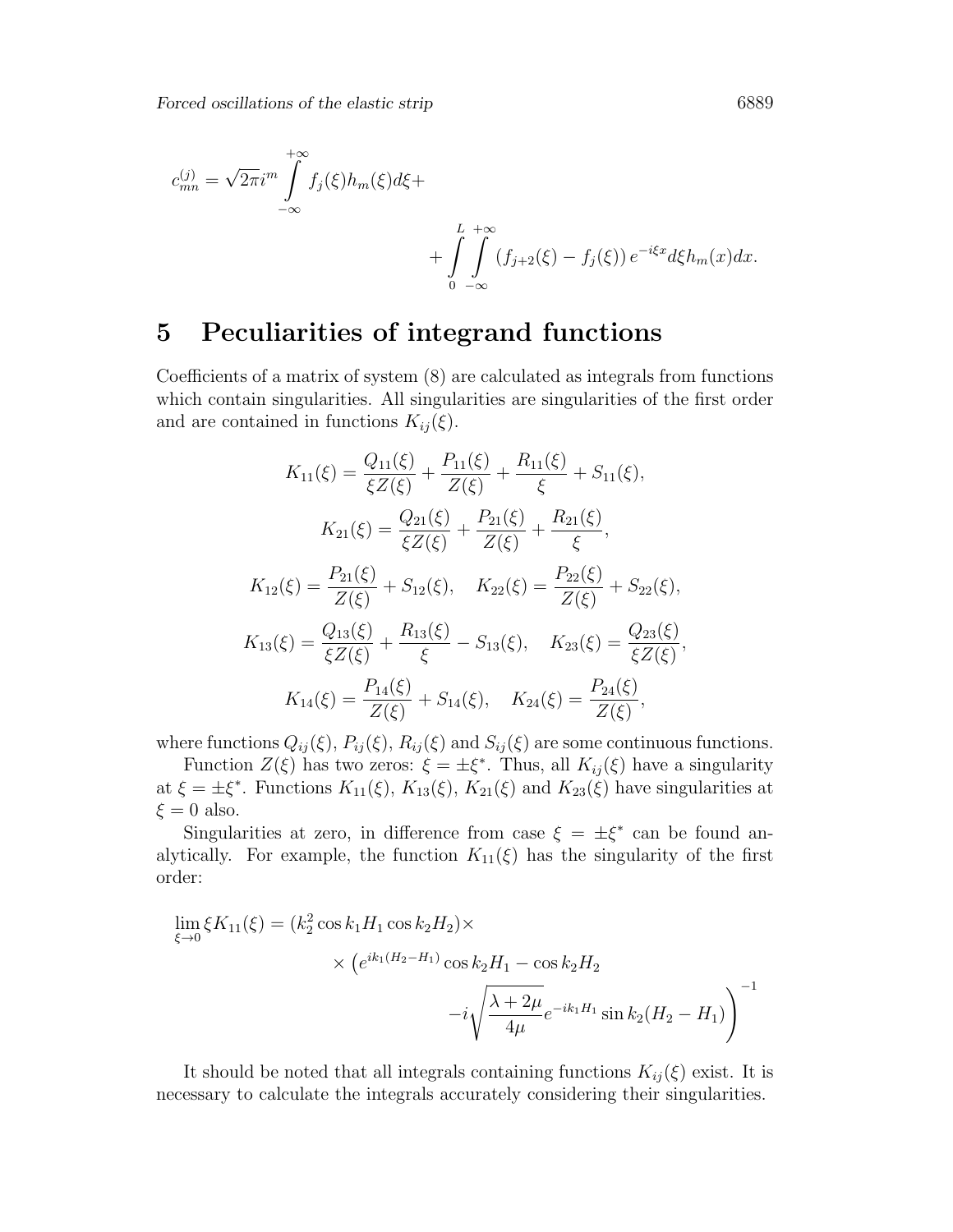$$
c_{mn}^{(j)} = \sqrt{2\pi} i^m \int_{-\infty}^{+\infty} f_j(\xi) h_m(\xi) d\xi +
$$
  
+ 
$$
\int_{0}^{L} \int_{-\infty}^{+\infty} (f_{j+2}(\xi) - f_j(\xi)) e^{-i\xi x} d\xi h_m(x) dx.
$$

### 5 Peculiarities of integrand functions

Coefficients of a matrix of system (8) are calculated as integrals from functions which contain singularities. All singularities are singularities of the first order and are contained in functions  $K_{ij}(\xi)$ .

$$
K_{11}(\xi) = \frac{Q_{11}(\xi)}{\xi Z(\xi)} + \frac{P_{11}(\xi)}{Z(\xi)} + \frac{R_{11}(\xi)}{\xi} + S_{11}(\xi),
$$
  
\n
$$
K_{21}(\xi) = \frac{Q_{21}(\xi)}{\xi Z(\xi)} + \frac{P_{21}(\xi)}{Z(\xi)} + \frac{R_{21}(\xi)}{\xi},
$$
  
\n
$$
K_{12}(\xi) = \frac{P_{21}(\xi)}{Z(\xi)} + S_{12}(\xi), \quad K_{22}(\xi) = \frac{P_{22}(\xi)}{Z(\xi)} + S_{22}(\xi),
$$
  
\n
$$
K_{13}(\xi) = \frac{Q_{13}(\xi)}{\xi Z(\xi)} + \frac{R_{13}(\xi)}{\xi} - S_{13}(\xi), \quad K_{23}(\xi) = \frac{Q_{23}(\xi)}{\xi Z(\xi)},
$$
  
\n
$$
K_{14}(\xi) = \frac{P_{14}(\xi)}{Z(\xi)} + S_{14}(\xi), \quad K_{24}(\xi) = \frac{P_{24}(\xi)}{Z(\xi)},
$$

where functions  $Q_{ij}(\xi)$ ,  $P_{ij}(\xi)$ ,  $R_{ij}(\xi)$  and  $S_{ij}(\xi)$  are some continuous functions.

Function  $Z(\xi)$  has two zeros:  $\xi = \pm \xi^*$ . Thus, all  $K_{ij}(\xi)$  have a singularity at  $\xi = \pm \xi^*$ . Functions  $K_{11}(\xi)$ ,  $K_{13}(\xi)$ ,  $K_{21}(\xi)$  and  $K_{23}(\xi)$  have singularities at  $\xi = 0$  also.

Singularities at zero, in difference from case  $\xi = \pm \xi^*$  can be found analytically. For example, the function  $K_{11}(\xi)$  has the singularity of the first order:

$$
\lim_{\xi \to 0} \xi K_{11}(\xi) = (k_2^2 \cos k_1 H_1 \cos k_2 H_2) \times
$$
  
 
$$
\times (e^{ik_1(H_2 - H_1)} \cos k_2 H_1 - \cos k_2 H_2 -i \sqrt{\frac{\lambda + 2\mu}{4\mu}} e^{-ik_1 H_1} \sin k_2 (H_2 - H_1))
$$

It should be noted that all integrals containing functions  $K_{ij}(\xi)$  exist. It is necessary to calculate the integrals accurately considering their singularities.